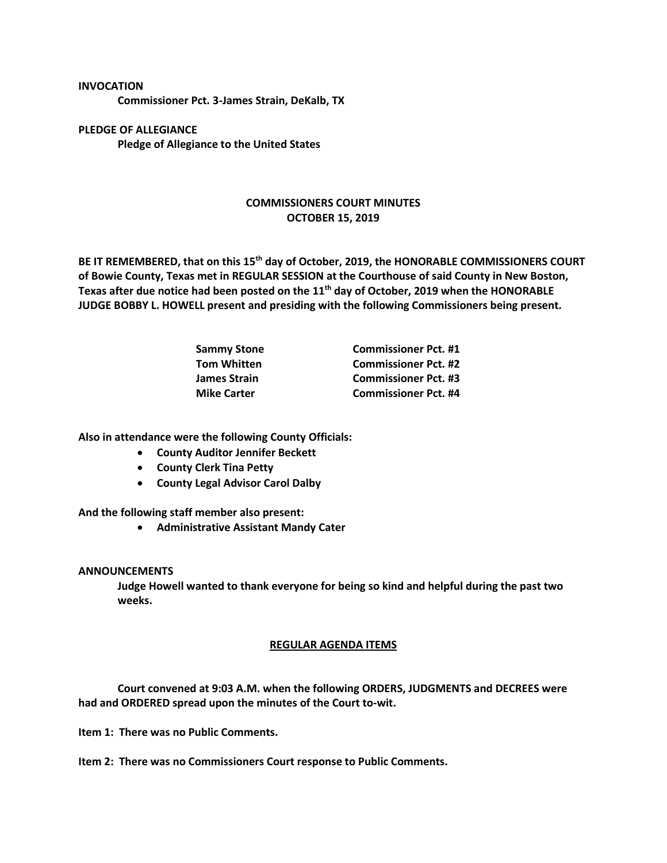**INVOCATION**

**Commissioner Pct. 3-James Strain, DeKalb, TX**

**PLEDGE OF ALLEGIANCE Pledge of Allegiance to the United States**

## **COMMISSIONERS COURT MINUTES OCTOBER 15, 2019**

**BE IT REMEMBERED, that on this 15 th day of October, 2019, the HONORABLE COMMISSIONERS COURT of Bowie County, Texas met in REGULAR SESSION at the Courthouse of said County in New Boston, Texas after due notice had been posted on the 11th day of October, 2019 when the HONORABLE JUDGE BOBBY L. HOWELL present and presiding with the following Commissioners being present.**

| <b>Sammy Stone</b> | <b>Commissioner Pct. #1</b> |
|--------------------|-----------------------------|
| <b>Tom Whitten</b> | <b>Commissioner Pct. #2</b> |
| James Strain       | <b>Commissioner Pct. #3</b> |
| <b>Mike Carter</b> | <b>Commissioner Pct. #4</b> |

**Also in attendance were the following County Officials:**

- **County Auditor Jennifer Beckett**
- **County Clerk Tina Petty**
- **County Legal Advisor Carol Dalby**

**And the following staff member also present:**

• **Administrative Assistant Mandy Cater**

## **ANNOUNCEMENTS**

**Judge Howell wanted to thank everyone for being so kind and helpful during the past two weeks.**

## **REGULAR AGENDA ITEMS**

**Court convened at 9:03 A.M. when the following ORDERS, JUDGMENTS and DECREES were had and ORDERED spread upon the minutes of the Court to-wit.**

**Item 1: There was no Public Comments.**

**Item 2: There was no Commissioners Court response to Public Comments.**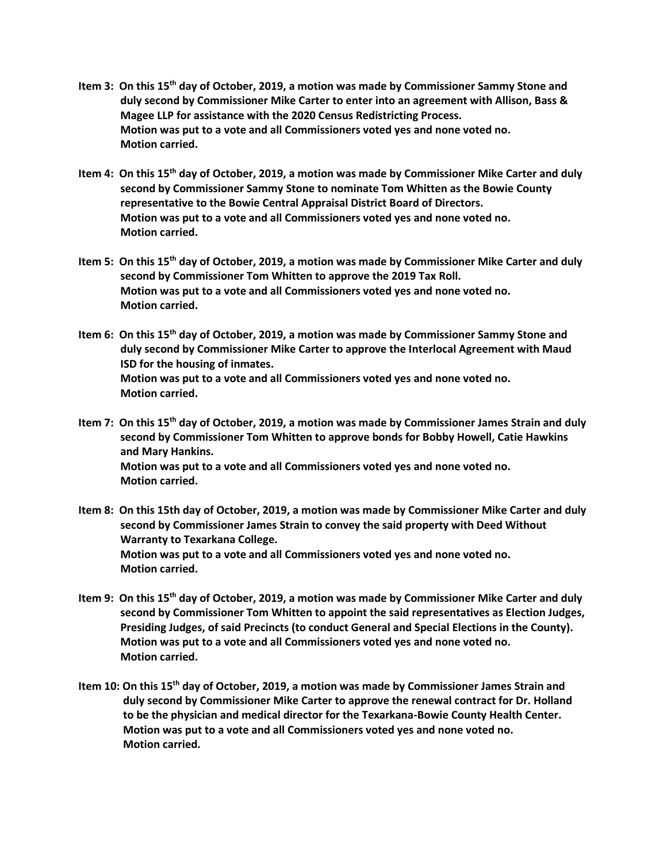- Item 3: On this 15<sup>th</sup> day of October, 2019, a motion was made by Commissioner Sammy Stone and **duly second by Commissioner Mike Carter to enter into an agreement with Allison, Bass & Magee LLP for assistance with the 2020 Census Redistricting Process. Motion was put to a vote and all Commissioners voted yes and none voted no. Motion carried.**
- Item 4: On this 15<sup>th</sup> day of October, 2019, a motion was made by Commissioner Mike Carter and duly **second by Commissioner Sammy Stone to nominate Tom Whitten as the Bowie County representative to the Bowie Central Appraisal District Board of Directors. Motion was put to a vote and all Commissioners voted yes and none voted no. Motion carried.**
- Item 5: On this 15<sup>th</sup> day of October, 2019, a motion was made by Commissioner Mike Carter and duly **second by Commissioner Tom Whitten to approve the 2019 Tax Roll. Motion was put to a vote and all Commissioners voted yes and none voted no. Motion carried.**
- Item 6: On this 15<sup>th</sup> day of October, 2019, a motion was made by Commissioner Sammy Stone and **duly second by Commissioner Mike Carter to approve the Interlocal Agreement with Maud ISD for the housing of inmates. Motion was put to a vote and all Commissioners voted yes and none voted no. Motion carried.**
- Item 7: On this 15<sup>th</sup> day of October, 2019, a motion was made by Commissioner James Strain and duly **second by Commissioner Tom Whitten to approve bonds for Bobby Howell, Catie Hawkins and Mary Hankins. Motion was put to a vote and all Commissioners voted yes and none voted no. Motion carried.**
- **Item 8: On this 15th day of October, 2019, a motion was made by Commissioner Mike Carter and duly second by Commissioner James Strain to convey the said property with Deed Without Warranty to Texarkana College. Motion was put to a vote and all Commissioners voted yes and none voted no. Motion carried.**
- Item 9: On this 15<sup>th</sup> day of October, 2019, a motion was made by Commissioner Mike Carter and duly **second by Commissioner Tom Whitten to appoint the said representatives as Election Judges, Presiding Judges, of said Precincts (to conduct General and Special Elections in the County). Motion was put to a vote and all Commissioners voted yes and none voted no. Motion carried.**
- Item 10: On this 15<sup>th</sup> day of October, 2019, a motion was made by Commissioner James Strain and  **duly second by Commissioner Mike Carter to approve the renewal contract for Dr. Holland to be the physician and medical director for the Texarkana-Bowie County Health Center. Motion was put to a vote and all Commissioners voted yes and none voted no. Motion carried.**